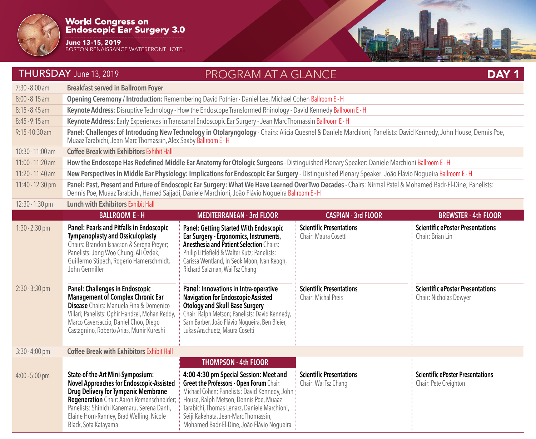

**June 13-15, 2019** BOSTON RENAISSANCE WATERFRONT HOTEL

|                                      | THURSDAY June 13, 2019                                                                                                                                                                                                                                                                                                                                                                                                                                                                                                  | <b>PROGRAM AT A GLANCE</b>                                                                                                                                                                                                                                                                                                                                                                                                                                                                                                                      |                                                                                                                   | DAY <sub>1</sub>                                                                                                                 |  |
|--------------------------------------|-------------------------------------------------------------------------------------------------------------------------------------------------------------------------------------------------------------------------------------------------------------------------------------------------------------------------------------------------------------------------------------------------------------------------------------------------------------------------------------------------------------------------|-------------------------------------------------------------------------------------------------------------------------------------------------------------------------------------------------------------------------------------------------------------------------------------------------------------------------------------------------------------------------------------------------------------------------------------------------------------------------------------------------------------------------------------------------|-------------------------------------------------------------------------------------------------------------------|----------------------------------------------------------------------------------------------------------------------------------|--|
| $7:30 - 8:00$ am                     | <b>Breakfast served in Ballroom Foyer</b>                                                                                                                                                                                                                                                                                                                                                                                                                                                                               |                                                                                                                                                                                                                                                                                                                                                                                                                                                                                                                                                 |                                                                                                                   |                                                                                                                                  |  |
| $8:00 - 8:15$ am                     | Opening Ceremony / Introduction: Remembering David Pothier - Daniel Lee, Michael Cohen Ballroom E - H                                                                                                                                                                                                                                                                                                                                                                                                                   |                                                                                                                                                                                                                                                                                                                                                                                                                                                                                                                                                 |                                                                                                                   |                                                                                                                                  |  |
| $8:15 - 8:45$ am                     |                                                                                                                                                                                                                                                                                                                                                                                                                                                                                                                         | Keynote Address: Disruptive Technology - How the Endoscope Transformed Rhinology - David Kennedy Ballroom E - H                                                                                                                                                                                                                                                                                                                                                                                                                                 |                                                                                                                   |                                                                                                                                  |  |
| $8:45 - 9:15$ am                     |                                                                                                                                                                                                                                                                                                                                                                                                                                                                                                                         | Keynote Address: Early Experiences in Transcanal Endoscopic Ear Surgery - Jean Marc Thomassin Ballroom E - H                                                                                                                                                                                                                                                                                                                                                                                                                                    |                                                                                                                   |                                                                                                                                  |  |
| $9:15 - 10:30$ am                    | Panel: Challenges of Introducing New Technology in Otolaryngology - Chairs: Alicia Quesnel & Daniele Marchioni; Panelists: David Kennedy, John House, Dennis Poe,<br>Muaaz Tarabichi, Jean Marc Thomassin, Alex Saxby Ballroom E - H                                                                                                                                                                                                                                                                                    |                                                                                                                                                                                                                                                                                                                                                                                                                                                                                                                                                 |                                                                                                                   |                                                                                                                                  |  |
| 10:30 - 11:00 am                     | <b>Coffee Break with Exhibitors Exhibit Hall</b>                                                                                                                                                                                                                                                                                                                                                                                                                                                                        |                                                                                                                                                                                                                                                                                                                                                                                                                                                                                                                                                 |                                                                                                                   |                                                                                                                                  |  |
| 11:00 - 11:20 am                     |                                                                                                                                                                                                                                                                                                                                                                                                                                                                                                                         | How the Endoscope Has Redefined Middle Ear Anatomy for Otologic Surgeons - Distinguished Plenary Speaker: Daniele Marchioni Ballroom E - H                                                                                                                                                                                                                                                                                                                                                                                                      |                                                                                                                   |                                                                                                                                  |  |
| 11:20 - 11:40 am                     | New Perspectives in Middle Ear Physiology: Implications for Endoscopic Ear Surgery - Distinguished Plenary Speaker: João Flávio Nogueira Ballroom E - H                                                                                                                                                                                                                                                                                                                                                                 |                                                                                                                                                                                                                                                                                                                                                                                                                                                                                                                                                 |                                                                                                                   |                                                                                                                                  |  |
| 11:40 - 12:30 pm                     | Panel: Past, Present and Future of Endoscopic Ear Surgery: What We Have Learned Over Two Decades - Chairs: Nirmal Patel & Mohamed Badr-El-Dine; Panelists:<br>Dennis Poe, Muaaz Tarabichi, Hamed Sajjadi, Daniele Marchioni, João Flávio Nogueira Ballroom E - H                                                                                                                                                                                                                                                        |                                                                                                                                                                                                                                                                                                                                                                                                                                                                                                                                                 |                                                                                                                   |                                                                                                                                  |  |
| 12:30 - 1:30 pm                      | <b>Lunch with Exhibitors Exhibit Hall</b>                                                                                                                                                                                                                                                                                                                                                                                                                                                                               |                                                                                                                                                                                                                                                                                                                                                                                                                                                                                                                                                 |                                                                                                                   |                                                                                                                                  |  |
|                                      | <b>BALLROOM E-H</b>                                                                                                                                                                                                                                                                                                                                                                                                                                                                                                     | <b>MEDITERRANEAN - 3rd FLOOR</b>                                                                                                                                                                                                                                                                                                                                                                                                                                                                                                                | <b>CASPIAN - 3rd FLOOR</b>                                                                                        | <b>BREWSTER - 4th FLOOR</b>                                                                                                      |  |
| $1:30 - 2:30$ pm<br>$2:30 - 3:30$ pm | Panel: Pearls and Pitfalls in Endoscopic<br><b>Tympanoplasty and Ossiculoplasty</b><br>Chairs: Brandon Isaacson & Serena Preyer;<br>Panelists: Jong Woo Chung, Ali Özdek,<br>Guillermo Stipech, Rogerio Hamerschmidt,<br>John Germiller<br><b>Panel: Challenges in Endoscopic</b><br><b>Management of Complex Chronic Ear</b><br><b>Disease</b> Chairs: Manuela Fina & Domenico<br>Villari; Panelists: Ophir Handzel, Mohan Reddy,<br>Marco Caversaccio, Daniel Choo, Diego<br>Castagnino, Roberto Arias, Munir Kureshi | <b>Panel: Getting Started With Endoscopic</b><br>Ear Surgery - Ergonomics, Instruments,<br><b>Anesthesia and Patient Selection Chairs:</b><br>Philip Littlefield & Walter Kutz; Panelists:<br>Carissa Wentland, In Seok Moon, Ivan Keogh,<br>Richard Salzman, Wai Tsz Chang<br>Panel: Innovations in Intra-operative<br><b>Navigation for Endoscopic-Assisted</b><br><b>Otology and Skull Base Surgery</b><br>Chair: Ralph Metson; Panelists: David Kennedy,<br>Sam Barber, João Flávio Nogueira, Ben Bleier,<br>Lukas Anschuetz, Maura Cosetti | <b>Scientific Presentations</b><br>Chair: Maura Cosetti<br><b>Scientific Presentations</b><br>Chair: Michal Preis | <b>Scientific ePoster Presentations</b><br>Chair: Brian Lin<br><b>Scientific ePoster Presentations</b><br>Chair: Nicholas Dewyer |  |
| 3:30 - 4:00 pm                       | <b>Coffee Break with Exhibitors Exhibit Hall</b>                                                                                                                                                                                                                                                                                                                                                                                                                                                                        |                                                                                                                                                                                                                                                                                                                                                                                                                                                                                                                                                 |                                                                                                                   |                                                                                                                                  |  |
| $4:00 - 5:00$ pm                     | State-of-the-Art Mini-Symposium:<br><b>Novel Approaches for Endoscopic-Assisted</b><br><b>Drug Delivery for Tympanic Membrane</b><br>Regeneration Chair: Aaron Remenschneider;<br>Panelists: Shinichi Kanemaru, Serena Danti,<br>Elaine Horn-Ranney, Brad Welling, Nicole<br>Black, Sota Katayama                                                                                                                                                                                                                       | <b>THOMPSON - 4th FLOOR</b><br>4:00-4:30 pm Special Session: Meet and<br><b>Greet the Professors - Open Forum Chair:</b><br>Michael Cohen; Panelists: David Kennedy, John<br>House, Ralph Metson, Dennis Poe, Muaaz<br>Tarabichi, Thomas Lenarz, Daniele Marchioni,<br>Seiji Kakehata, Jean-Marc Thomassin,<br>Mohamed Badr-El-Dine, João Flávio Nogueira                                                                                                                                                                                       | <b>Scientific Presentations</b><br>Chair: Wai Tsz Chang                                                           | <b>Scientific ePoster Presentations</b><br>Chair: Pete Creighton                                                                 |  |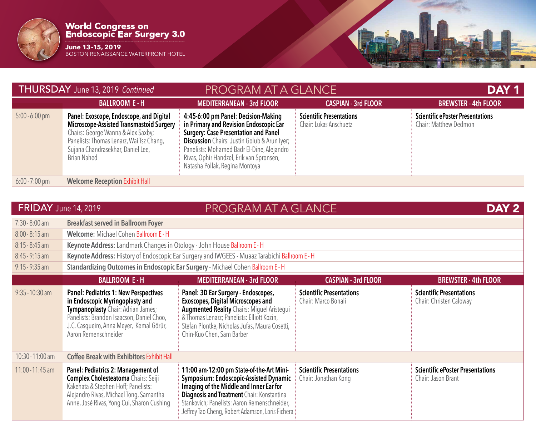

**June 13-15, 2019** BOSTON RENAISSANCE WATERFRONT HOTEL

| THURSDAY June 13, 2019 Continued |                                                                                                                                                                                                                                         | <b>PROGRAM AT A GLANCE</b>                                                                                                                                                                                                                                                                                      |                                                           | DAY 1                                                            |  |
|----------------------------------|-----------------------------------------------------------------------------------------------------------------------------------------------------------------------------------------------------------------------------------------|-----------------------------------------------------------------------------------------------------------------------------------------------------------------------------------------------------------------------------------------------------------------------------------------------------------------|-----------------------------------------------------------|------------------------------------------------------------------|--|
|                                  | <b>BALLROOM E-H</b>                                                                                                                                                                                                                     | <b>MEDITERRANEAN - 3rd FLOOR</b>                                                                                                                                                                                                                                                                                | <b>CASPIAN - 3rd FLOOR</b>                                | <b>BREWSTER - 4th FLOOR</b>                                      |  |
| $5:00 - 6:00$ pm                 | Panel: Exoscope, Endoscope, and Digital<br><b>Microscope-Assisted Transmastoid Surgery</b><br>Chairs: George Wanna & Alex Saxby;<br>Panelists: Thomas Lenarz, Wai Tsz Chang,<br>Sujana Chandrasekhar, Daniel Lee,<br><b>Brian Nahed</b> | 4:45-6:00 pm Panel: Decision-Making<br>in Primary and Revision Endoscopic Ear<br><b>Surgery: Case Presentation and Panel</b><br><b>Discussion</b> Chairs: Justin Golub & Arun Iyer;<br>Panelists: Mohamed Badr El-Dine, Alejandro<br>Rivas, Ophir Handzel, Erik van Spronsen,<br>Natasha Pollak, Regina Montoya | <b>Scientific Presentations</b><br>Chair: Lukas Anschuetz | <b>Scientific ePoster Presentations</b><br>Chair: Matthew Dedmon |  |
| $6:00 - 7:00 \text{ pm}$         | <b>Welcome Reception Exhibit Hall</b>                                                                                                                                                                                                   |                                                                                                                                                                                                                                                                                                                 |                                                           |                                                                  |  |

| <b>FRIDAY</b> June 14, 2019 |                                                                                                                                                                                                                                        | PROGRAM AT A GLANCE                                                                                                                                                                                                                                                                    |                                                         | DAY <sub>2</sub>                                              |
|-----------------------------|----------------------------------------------------------------------------------------------------------------------------------------------------------------------------------------------------------------------------------------|----------------------------------------------------------------------------------------------------------------------------------------------------------------------------------------------------------------------------------------------------------------------------------------|---------------------------------------------------------|---------------------------------------------------------------|
| $7:30 - 8:00$ am            | <b>Breakfast served in Ballroom Foyer</b>                                                                                                                                                                                              |                                                                                                                                                                                                                                                                                        |                                                         |                                                               |
| $8:00 - 8:15$ am            | Welcome: Michael Cohen Ballroom E - H                                                                                                                                                                                                  |                                                                                                                                                                                                                                                                                        |                                                         |                                                               |
| $8:15 - 8:45$ am            | Keynote Address: Landmark Changes in Otology - John House Ballroom E - H                                                                                                                                                               |                                                                                                                                                                                                                                                                                        |                                                         |                                                               |
| $8:45 - 9:15$ am            | Keynote Address: History of Endoscopic Ear Surgery and IWGEES - Muaaz Tarabichi Ballroom E - H                                                                                                                                         |                                                                                                                                                                                                                                                                                        |                                                         |                                                               |
| $9:15 - 9:35$ am            | Standardizing Outcomes in Endoscopic Ear Surgery - Michael Cohen Ballroom E - H                                                                                                                                                        |                                                                                                                                                                                                                                                                                        |                                                         |                                                               |
|                             | <b>BALLROOM E-H</b>                                                                                                                                                                                                                    | <b>MEDITERRANEAN - 3rd FLOOR</b>                                                                                                                                                                                                                                                       | <b>CASPIAN - 3rd FLOOR</b>                              | <b>BREWSTER - 4th FLOOR</b>                                   |
| $9:35 - 10:30$ am           | <b>Panel: Pediatrics 1: New Perspectives</b><br>in Endoscopic Myringoplasty and<br>Tympanoplasty Chair: Adrian James;<br>Panelists: Brandon Isaacson, Daniel Choo,<br>J.C. Casqueiro, Anna Meyer, Kemal Görür,<br>Aaron Remenschneider | Panel: 3D Ear Surgery - Endoscopes,<br><b>Exoscopes, Digital Microscopes and</b><br><b>Augmented Reality Chairs: Miguel Aristegui</b><br>& Thomas Lenarz; Panelists: Elliott Kozin,<br>Stefan Plontke, Nicholas Jufas, Maura Cosetti,<br>Chin-Kuo Chen, Sam Barber                     | <b>Scientific Presentations</b><br>Chair: Marco Bonali  | <b>Scientific Presentations</b><br>Chair: Christen Caloway    |
| 10:30 - 11:00 am            | <b>Coffee Break with Exhibitors Exhibit Hall</b>                                                                                                                                                                                       |                                                                                                                                                                                                                                                                                        |                                                         |                                                               |
| $11:00 - 11:45$ am          | Panel: Pediatrics 2: Management of<br><b>Complex Cholesteatoma Chairs: Seiji</b><br>Kakehata & Stephen Hoff; Panelists:<br>Alejandro Rivas, Michael Tong, Samantha<br>Anne, José Rivas, Yong Cui, Sharon Cushing                       | 11:00 am-12:00 pm State-of-the-Art Mini-<br>Symposium: Endoscopic-Assisted Dynamic<br>Imaging of the Middle and Inner Ear for<br><b>Diagnosis and Treatment Chair: Konstantina</b><br>Stankovich; Panelists: Aaron Remenschneider,<br>Jeffrey Tao Cheng, Robert Adamson, Loris Fichera | <b>Scientific Presentations</b><br>Chair: Jonathan Kong | <b>Scientific ePoster Presentations</b><br>Chair: Jason Brant |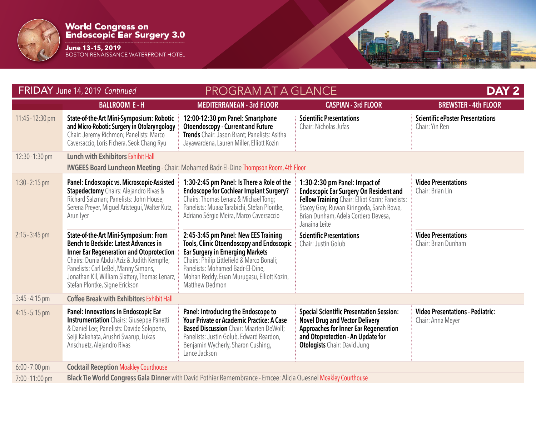

**June 13-15, 2019** BOSTON RENAISSANCE WATERFRONT HOTEL

| FRIDAY June 14, 2019 Continued |                                                                                                                                                                                                                                                                                                                   | <b>PROGRAM AT A GLANCE</b>                                                                                                                                                                                                                                                           |                                                                                                                                                                                                                                        | DAY <sub>2</sub>                                             |  |
|--------------------------------|-------------------------------------------------------------------------------------------------------------------------------------------------------------------------------------------------------------------------------------------------------------------------------------------------------------------|--------------------------------------------------------------------------------------------------------------------------------------------------------------------------------------------------------------------------------------------------------------------------------------|----------------------------------------------------------------------------------------------------------------------------------------------------------------------------------------------------------------------------------------|--------------------------------------------------------------|--|
|                                | <b>BALLROOM E-H</b>                                                                                                                                                                                                                                                                                               | <b>MEDITERRANEAN - 3rd FLOOR</b>                                                                                                                                                                                                                                                     | <b>CASPIAN - 3rd FLOOR</b>                                                                                                                                                                                                             | <b>BREWSTER - 4th FLOOR</b>                                  |  |
| 11:45 - 12:30 pm               | State-of-the-Art Mini-Symposium: Robotic<br>and Micro-Robotic Surgery in Otolaryngology<br>Chair: Jeremy Richmon; Panelists: Marco<br>Caversaccio, Loris Fichera, Seok Chang Ryu                                                                                                                                  | 12:00-12:30 pm Panel: Smartphone<br><b>Otoendoscopy - Current and Future</b><br>Trends Chair: Jason Brant; Panelists: Asitha<br>Jayawardena, Lauren Miller, Elliott Kozin                                                                                                            | <b>Scientific Presentations</b><br>Chair: Nicholas Jufas                                                                                                                                                                               | <b>Scientific ePoster Presentations</b><br>Chair: Yin Ren    |  |
| $12:30 - 1:30$ pm              | <b>Lunch with Exhibitors Exhibit Hall</b>                                                                                                                                                                                                                                                                         |                                                                                                                                                                                                                                                                                      |                                                                                                                                                                                                                                        |                                                              |  |
|                                | <b>IWGEES Board Luncheon Meeting - Chair: Mohamed Badr-El-Dine Thompson Room, 4th Floor</b>                                                                                                                                                                                                                       |                                                                                                                                                                                                                                                                                      |                                                                                                                                                                                                                                        |                                                              |  |
| $1:30 - 2:15$ pm               | Panel: Endoscopic vs. Microscopic-Assisted<br><b>Stapedectomy</b> Chairs: Alejandro Rivas &<br>Richard Salzman; Panelists: John House,<br>Serena Preyer, Miguel Aristegui, Walter Kutz,<br>Arun Iyer                                                                                                              | 1:30-2:45 pm Panel: Is There a Role of the<br><b>Endoscope for Cochlear Implant Surgery?</b><br>Chairs: Thomas Lenarz & Michael Tong;<br>Panelists: Muaaz Tarabichi, Stefan Plontke,<br>Adriano Sérgio Meira, Marco Caversaccio                                                      | 1:30-2:30 pm Panel: Impact of<br><b>Endoscopic Ear Surgery On Resident and</b><br>Fellow Training Chair: Elliot Kozin; Panelists:<br>Stacey Gray, Ruwan Kiringoda, Sarah Bowe,<br>Brian Dunham, Adela Cordero Devesa,<br>Janaina Leite | <b>Video Presentations</b><br>Chair: Brian Lin               |  |
| $2:15 - 3:45$ pm               | State-of-the-Art Mini-Symposium: From<br><b>Bench to Bedside: Latest Advances in</b><br><b>Inner Ear Regeneration and Otoprotection</b><br>Chairs: Dunia Abdul-Aziz & Judith Kempfle;<br>Panelists: Carl LeBel, Manny Simons,<br>Jonathan Kil, William Slattery, Thomas Lenarz,<br>Stefan Plontke, Signe Erickson | 2:45-3:45 pm Panel: New EES Training<br><b>Tools, Clinic Otoendoscopy and Endoscopic</b><br><b>Ear Surgery in Emerging Markets</b><br>Chairs: Philip Littlefield & Marco Bonali;<br>Panelists: Mohamed Badr-El-Dine,<br>Mohan Reddy, Euan Murugasu, Elliott Kozin,<br>Matthew Dedmon | <b>Scientific Presentations</b><br>Chair: Justin Golub                                                                                                                                                                                 | <b>Video Presentations</b><br>Chair: Brian Dunham            |  |
| $3:45 - 4:15$ pm               | <b>Coffee Break with Exhibitors Exhibit Hall</b>                                                                                                                                                                                                                                                                  |                                                                                                                                                                                                                                                                                      |                                                                                                                                                                                                                                        |                                                              |  |
| $4:15 - 5:15$ pm               | <b>Panel: Innovations in Endoscopic Ear</b><br><b>Instrumentation</b> Chairs: Giuseppe Panetti<br>& Daniel Lee; Panelists: Davide Soloperto,<br>Seiji Kakehata, Arushri Swarup, Lukas<br>Anschuetz, Alejandro Rivas                                                                                               | Panel: Introducing the Endoscope to<br>Your Private or Academic Practice: A Case<br><b>Based Discussion</b> Chair: Maarten DeWolf;<br>Panelists: Justin Golub, Edward Reardon,<br>Benjamin Wycherly, Sharon Cushing,<br>Lance Jackson                                                | <b>Special Scientific Presentation Session:</b><br><b>Novel Drug and Vector Delivery</b><br><b>Approaches for Inner Ear Regeneration</b><br>and Otoprotection - An Update for<br><b>Otologists</b> Chair: David Jung                   | <b>Video Presentations - Pediatric:</b><br>Chair: Anna Meyer |  |
| $6:00 - 7:00$ pm               | <b>Cocktail Reception Moakley Courthouse</b>                                                                                                                                                                                                                                                                      |                                                                                                                                                                                                                                                                                      |                                                                                                                                                                                                                                        |                                                              |  |
| 7:00 - 11:00 pm                | Black Tie World Congress Gala Dinner with David Pothier Remembrance - Emcee: Alicia Quesnel Moakley Courthouse                                                                                                                                                                                                    |                                                                                                                                                                                                                                                                                      |                                                                                                                                                                                                                                        |                                                              |  |